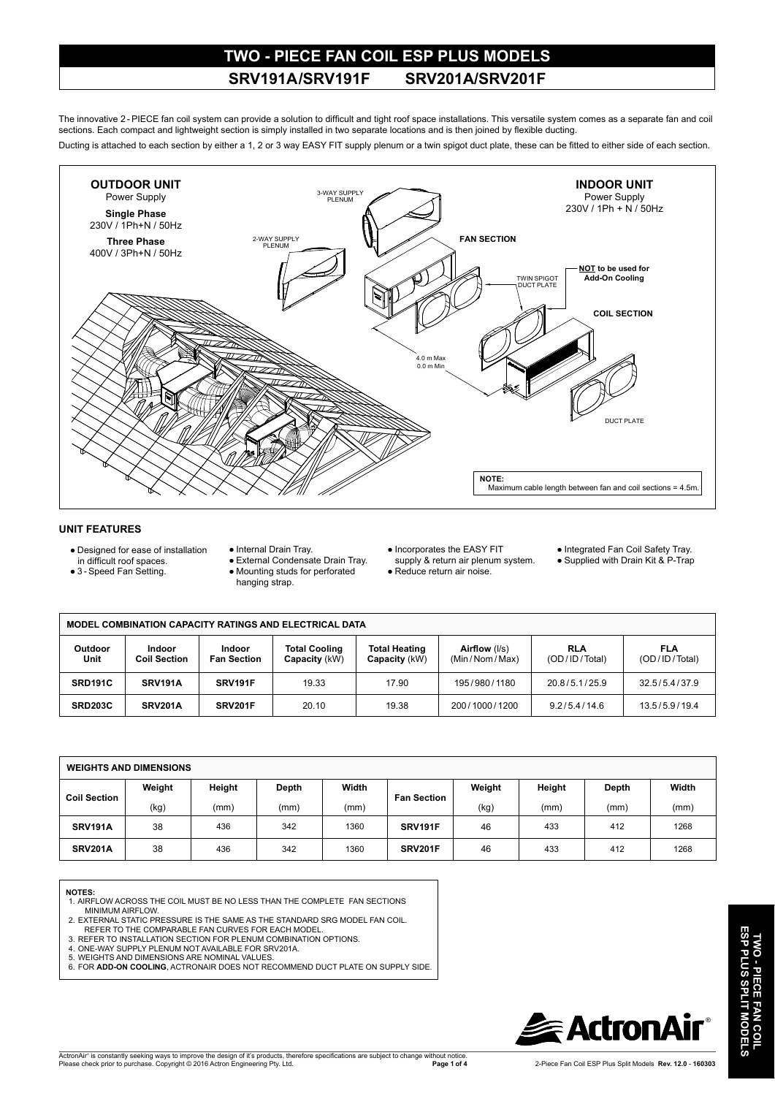### **TWO - PIECE FAN COIL ESP PLUS MODELS SRV191A /SRV191F SRV201A/SRV201F**

The innovative 2-PIECE fan coil system can provide a solution to difficult and tight roof space installations. This versatile system comes as a separate fan and coil sections. Each compact and lightweight section is simply installed in two separate locations and is then joined by flexible ducting.

Ducting is attached to each section by either a 1, 2 or 3 way EASY FIT supply plenum or a twin spigot duct plate, these can be fitted to either side of each section.



### **UNIT FEATURES**

- Designed for ease of installation
- in difficult roof spaces.
- 3 Speed Fan Setting.
- Internal Drain Tray.
- 
- External Condensate Drain Tray.
- Mounting studs for perforated hanging strap.
- Incorporates the EASY FIT
- supply & return air plenum system. ● Reduce return air noise.
- Integrated Fan Coil Safety Tray.
- Supplied with Drain Kit & P-Trap

| <b>MODEL COMBINATION CAPACITY RATINGS AND ELECTRICAL DATA</b> |                               |                              |                                       |                                       |                                |                             |                      |
|---------------------------------------------------------------|-------------------------------|------------------------------|---------------------------------------|---------------------------------------|--------------------------------|-----------------------------|----------------------|
| <b>Outdoor</b><br>Unit                                        | Indoor<br><b>Coil Section</b> | Indoor<br><b>Fan Section</b> | <b>Total Cooling</b><br>Capacity (kW) | <b>Total Heating</b><br>Capacity (kW) | Airflow (I/s)<br>(Min/Nom/Max) | <b>RLA</b><br>(OD/ID/Total) | FLA<br>(OD/ID/Total) |
| SRD191C                                                       | SRV191A                       | SRV191F                      | 19.33                                 | 17.90                                 | 195/980/1180                   | 20.8/5.1/25.9               | 32.5/5.4/37.9        |
| <b>SRD203C</b>                                                | SRV201A                       | SRV201F                      | 20.10                                 | 19.38                                 | 200/1000/1200                  | 9.2/5.4/14.6                | 13.5/5.9/19.4        |

| <b>WEIGHTS AND DIMENSIONS</b> |        |        |       |       |                    |        |        |       |       |
|-------------------------------|--------|--------|-------|-------|--------------------|--------|--------|-------|-------|
| <b>Coil Section</b>           | Weight | Height | Depth | Width | <b>Fan Section</b> | Weight | Height | Depth | Width |
|                               | (kg)   | (mm)   | (mm)  | (mm)  |                    | (kg)   | (mm)   | (mm)  | (mm)  |
| <b>SRV191A</b>                | 38     | 436    | 342   | 1360  | SRV191F            | 46     | 433    | 412   | 1268  |
| <b>SRV201A</b>                | 38     | 436    | 342   | 1360  | <b>SRV201F</b>     | 46     | 433    | 412   | 1268  |

#### **NOTES:**

- 1. AIRFLOW ACROSS THE COIL MUST BE NO LESS THAN THE COMPLETE FAN SECTIONS MINIMUM AIRFLOW.
- 2. EXTERNAL STATIC PRESSURE IS THE SAME AS THE STANDARD SRG MODEL FAN COIL.
- REFER TO THE COMPARABLE FAN CURVES FOR EACH MODEL. 3. REFER TO INSTALLATION SECTION FOR PLENUM COMBINATION OPTIONS.
- 
- 4. ONE-WAY SUPPLY PLENUM NOT AVAILABLE FOR SRV201A. 5. WEIGHTS AND DIMENSIONS ARE NOMINAL VALUES.
- 6. FOR **ADD-ON COOLING**, ACTRONAIR DOES NOT RECOMMEND DUCT PLATE ON SUPPLY SIDE.

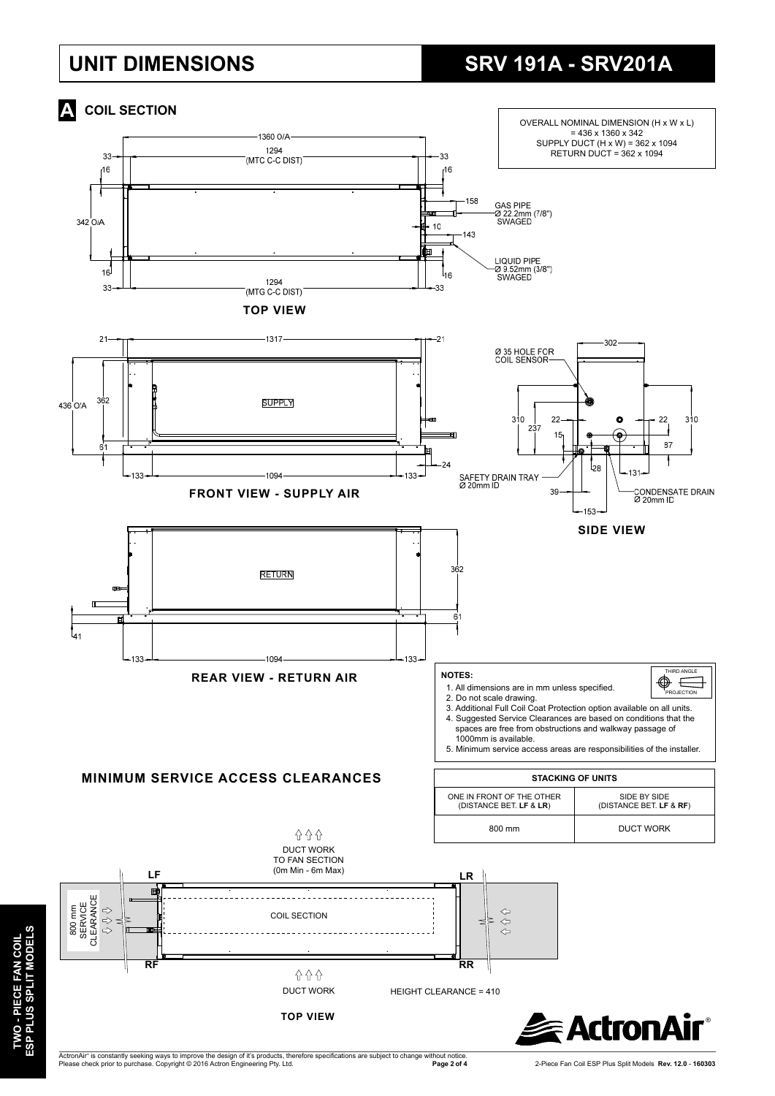## **UNIT DIMENSIONS**

## **SRV 191A - SRV201A**



TWO - PIECE FAN COIL<br>ESP PLUS SPLIT MODELS **ESP PLUS SPLIT MODELS TWO - PIECE FAN COIL**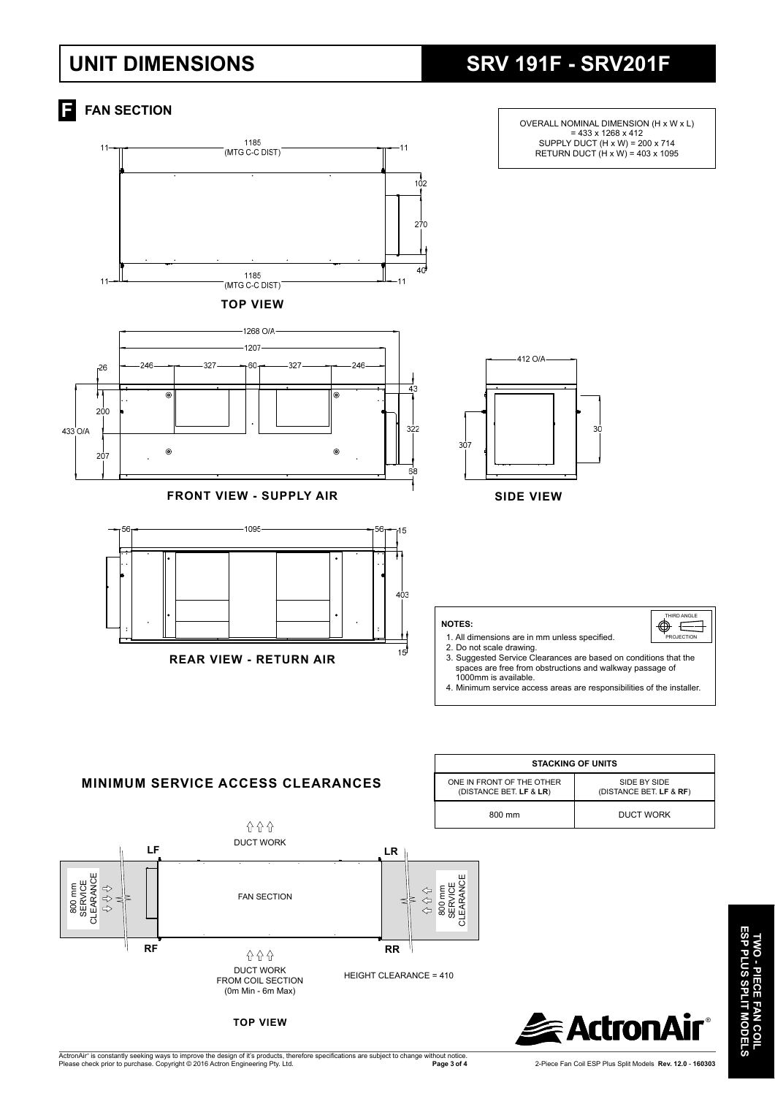## **UNIT DIMENSIONS**

## **SRV 191F - SRV201F**



HEIGHT CLEARANCE = 410

**RR**

## TWO - PIECE FAN COIL<br>ESP PLUS SPLIT MODELS **ESP PLUS SPLIT MODELS TWO - PIECE FAN COIL**

®**R**

**TOP VIEW**

DUCT WORK FROM COIL SECTION (0m Min - 6m Max)

**A** A A

**RF**

**Page 3 of 4** 2-Piece Fan Coil ESP Plus Split Models**Rev. 12.0** - **160303** 

 **E** ActronA